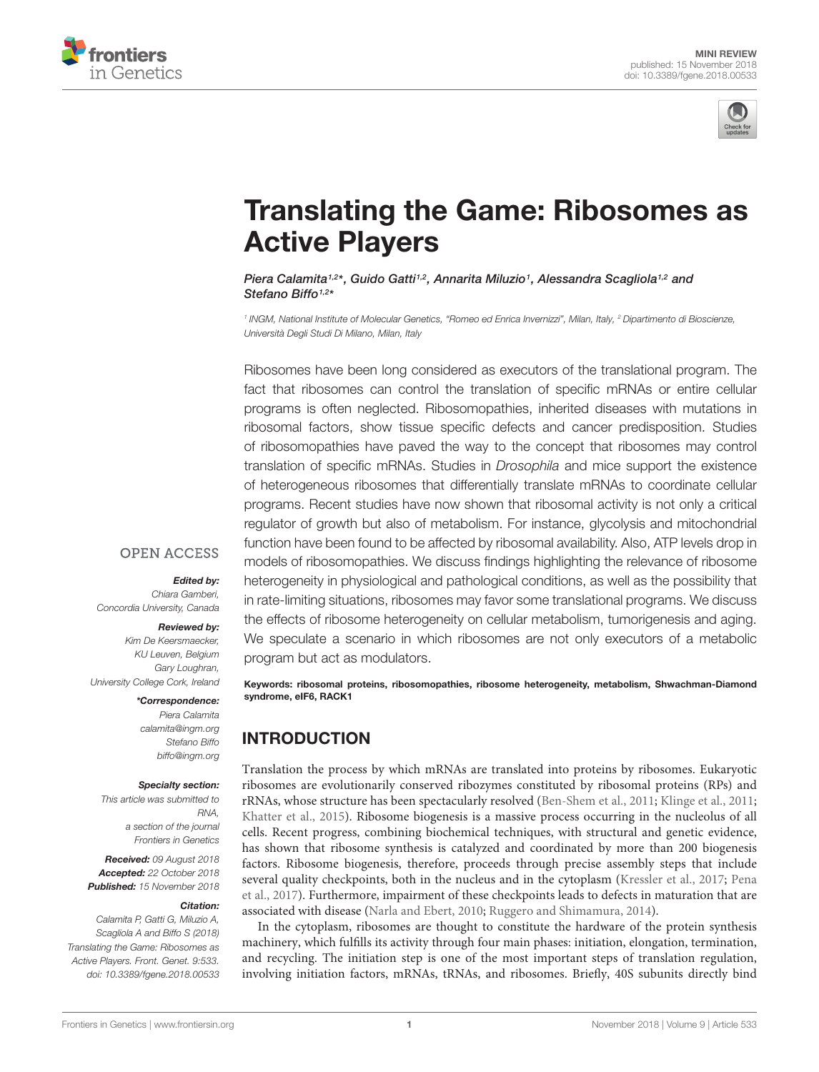



# [Translating the Game: Ribosomes as](https://www.frontiersin.org/articles/10.3389/fgene.2018.00533/full) Active Players

[Piera Calamita](http://loop.frontiersin.org/people/598681/overview)1,2\*, Guido Gatti1,2, [Annarita Miluzio](http://loop.frontiersin.org/people/617937/overview)1, [Alessandra Scagliola](http://loop.frontiersin.org/people/635151/overview)1,2 and [Stefano Biffo](http://loop.frontiersin.org/people/263001/overview)<sup>1,2\*</sup>

<sup>1</sup> INGM, National Institute of Molecular Genetics, "Romeo ed Enrica Invernizzi", Milan, Italy, <sup>2</sup> Dipartimento di Bioscienze, Università Degli Studi Di Milano, Milan, Italy

Ribosomes have been long considered as executors of the translational program. The fact that ribosomes can control the translation of specific mRNAs or entire cellular programs is often neglected. Ribosomopathies, inherited diseases with mutations in ribosomal factors, show tissue specific defects and cancer predisposition. Studies of ribosomopathies have paved the way to the concept that ribosomes may control translation of specific mRNAs. Studies in Drosophila and mice support the existence of heterogeneous ribosomes that differentially translate mRNAs to coordinate cellular programs. Recent studies have now shown that ribosomal activity is not only a critical regulator of growth but also of metabolism. For instance, glycolysis and mitochondrial function have been found to be affected by ribosomal availability. Also, ATP levels drop in models of ribosomopathies. We discuss findings highlighting the relevance of ribosome heterogeneity in physiological and pathological conditions, as well as the possibility that in rate-limiting situations, ribosomes may favor some translational programs. We discuss the effects of ribosome heterogeneity on cellular metabolism, tumorigenesis and aging. We speculate a scenario in which ribosomes are not only executors of a metabolic program but act as modulators.

**OPEN ACCESS** Edited by:

Chiara Gamberi, Concordia University, Canada

#### Reviewed by:

Kim De Keersmaecker, KU Leuven, Belgium Gary Loughran, University College Cork, Ireland

#### \*Correspondence:

Piera Calamita calamita@ingm.org Stefano Biffo biffo@ingm.org

#### Specialty section:

This article was submitted to RNA, a section of the journal Frontiers in Genetics

Received: 09 August 2018 Accepted: 22 October 2018 Published: 15 November 2018

#### Citation:

Calamita P, Gatti G, Miluzio A, Scagliola A and Biffo S (2018) Translating the Game: Ribosomes as Active Players. Front. Genet. 9:533. doi: [10.3389/fgene.2018.00533](https://doi.org/10.3389/fgene.2018.00533)

Keywords: ribosomal proteins, ribosomopathies, ribosome heterogeneity, metabolism, Shwachman-Diamond syndrome, eIF6, RACK1

### INTRODUCTION

Translation the process by which mRNAs are translated into proteins by ribosomes. Eukaryotic ribosomes are evolutionarily conserved ribozymes constituted by ribosomal proteins (RPs) and rRNAs, whose structure has been spectacularly resolved [\(Ben-Shem et al.,](#page-5-0) [2011;](#page-5-0) [Klinge et al.,](#page-6-0) [2011;](#page-6-0) [Khatter et al.,](#page-6-1) [2015\)](#page-6-1). Ribosome biogenesis is a massive process occurring in the nucleolus of all cells. Recent progress, combining biochemical techniques, with structural and genetic evidence, has shown that ribosome synthesis is catalyzed and coordinated by more than 200 biogenesis factors. Ribosome biogenesis, therefore, proceeds through precise assembly steps that include several quality checkpoints, both in the nucleus and in the cytoplasm [\(Kressler et al.,](#page-6-2) [2017;](#page-6-2) [Pena](#page-6-3) [et al.,](#page-6-3) [2017\)](#page-6-3). Furthermore, impairment of these checkpoints leads to defects in maturation that are associated with disease [\(Narla and Ebert,](#page-6-4) [2010;](#page-6-4) [Ruggero and Shimamura,](#page-6-5) [2014\)](#page-6-5).

In the cytoplasm, ribosomes are thought to constitute the hardware of the protein synthesis machinery, which fulfills its activity through four main phases: initiation, elongation, termination, and recycling. The initiation step is one of the most important steps of translation regulation, involving initiation factors, mRNAs, tRNAs, and ribosomes. Briefly, 40S subunits directly bind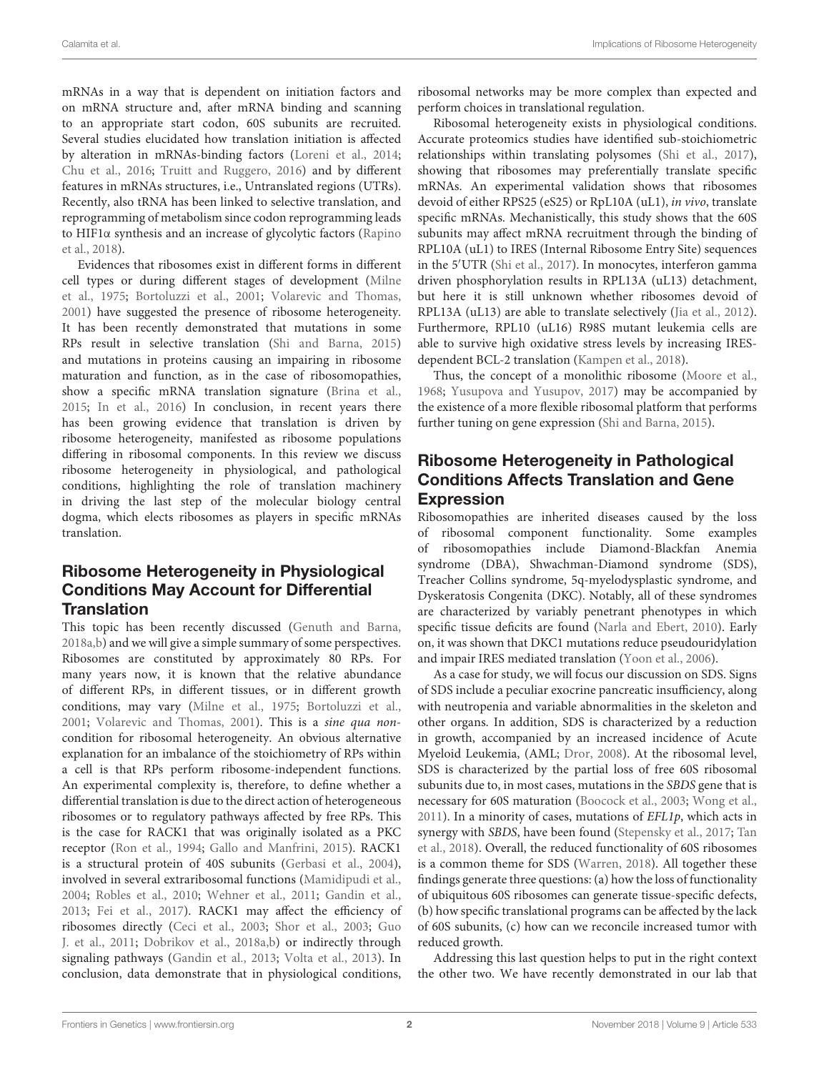mRNAs in a way that is dependent on initiation factors and on mRNA structure and, after mRNA binding and scanning to an appropriate start codon, 60S subunits are recruited. Several studies elucidated how translation initiation is affected by alteration in mRNAs-binding factors [\(Loreni et al.,](#page-6-6) [2014;](#page-6-6) [Chu et al.,](#page-5-1) [2016;](#page-5-1) [Truitt and Ruggero,](#page-7-0) [2016\)](#page-7-0) and by different features in mRNAs structures, i.e., Untranslated regions (UTRs). Recently, also tRNA has been linked to selective translation, and reprogramming of metabolism since codon reprogramming leads to HIF1α synthesis and an increase of glycolytic factors [\(Rapino](#page-6-7) [et al.,](#page-6-7) [2018\)](#page-6-7).

Evidences that ribosomes exist in different forms in different cell types or during different stages of development [\(Milne](#page-6-8) [et al.,](#page-6-8) [1975;](#page-6-8) [Bortoluzzi et al.,](#page-5-2) [2001;](#page-5-2) [Volarevic and Thomas,](#page-7-1) [2001\)](#page-7-1) have suggested the presence of ribosome heterogeneity. It has been recently demonstrated that mutations in some RPs result in selective translation [\(Shi and Barna,](#page-6-9) [2015\)](#page-6-9) and mutations in proteins causing an impairing in ribosome maturation and function, as in the case of ribosomopathies, show a specific mRNA translation signature [\(Brina et al.,](#page-5-3) [2015;](#page-5-3) [In et al.,](#page-5-4) [2016\)](#page-5-4) In conclusion, in recent years there has been growing evidence that translation is driven by ribosome heterogeneity, manifested as ribosome populations differing in ribosomal components. In this review we discuss ribosome heterogeneity in physiological, and pathological conditions, highlighting the role of translation machinery in driving the last step of the molecular biology central dogma, which elects ribosomes as players in specific mRNAs translation.

#### Ribosome Heterogeneity in Physiological Conditions May Account for Differential **Translation**

This topic has been recently discussed [\(Genuth and Barna,](#page-5-5) [2018a,](#page-5-5)[b\)](#page-5-6) and we will give a simple summary of some perspectives. Ribosomes are constituted by approximately 80 RPs. For many years now, it is known that the relative abundance of different RPs, in different tissues, or in different growth conditions, may vary [\(Milne et al.,](#page-6-8) [1975;](#page-6-8) [Bortoluzzi et al.,](#page-5-2) [2001;](#page-5-2) [Volarevic and Thomas,](#page-7-1) [2001\)](#page-7-1). This is a sine qua noncondition for ribosomal heterogeneity. An obvious alternative explanation for an imbalance of the stoichiometry of RPs within a cell is that RPs perform ribosome-independent functions. An experimental complexity is, therefore, to define whether a differential translation is due to the direct action of heterogeneous ribosomes or to regulatory pathways affected by free RPs. This is the case for RACK1 that was originally isolated as a PKC receptor [\(Ron et al.,](#page-6-10) [1994;](#page-6-10) [Gallo and Manfrini,](#page-5-7) [2015\)](#page-5-7). RACK1 is a structural protein of 40S subunits [\(Gerbasi et al.,](#page-5-8) [2004\)](#page-5-8), involved in several extraribosomal functions [\(Mamidipudi et al.,](#page-6-11) [2004;](#page-6-11) [Robles et al.,](#page-6-12) [2010;](#page-6-12) [Wehner et al.,](#page-7-2) [2011;](#page-7-2) [Gandin et al.,](#page-5-9) [2013;](#page-5-9) [Fei et al.,](#page-5-10) [2017\)](#page-5-10). RACK1 may affect the efficiency of ribosomes directly [\(Ceci et al.,](#page-5-11) [2003;](#page-5-11) [Shor et al.,](#page-6-13) [2003;](#page-6-13) [Guo](#page-5-12) [J. et al.,](#page-5-12) [2011;](#page-5-12) [Dobrikov et al.,](#page-5-13) [2018a](#page-5-13)[,b\)](#page-5-14) or indirectly through signaling pathways [\(Gandin et al.,](#page-5-9) [2013;](#page-5-9) [Volta et al.,](#page-7-3) [2013\)](#page-7-3). In conclusion, data demonstrate that in physiological conditions,

ribosomal networks may be more complex than expected and perform choices in translational regulation.

Ribosomal heterogeneity exists in physiological conditions. Accurate proteomics studies have identified sub-stoichiometric relationships within translating polysomes [\(Shi et al.,](#page-6-14) [2017\)](#page-6-14), showing that ribosomes may preferentially translate specific mRNAs. An experimental validation shows that ribosomes devoid of either RPS25 (eS25) or RpL10A (uL1), in vivo, translate specific mRNAs. Mechanistically, this study shows that the 60S subunits may affect mRNA recruitment through the binding of RPL10A (uL1) to IRES (Internal Ribosome Entry Site) sequences in the 5'UTR [\(Shi et al.,](#page-6-14) [2017\)](#page-6-14). In monocytes, interferon gamma driven phosphorylation results in RPL13A (uL13) detachment, but here it is still unknown whether ribosomes devoid of RPL13A (uL13) are able to translate selectively [\(Jia et al.,](#page-5-15) [2012\)](#page-5-15). Furthermore, RPL10 (uL16) R98S mutant leukemia cells are able to survive high oxidative stress levels by increasing IRESdependent BCL-2 translation [\(Kampen et al.,](#page-6-15) [2018\)](#page-6-15).

Thus, the concept of a monolithic ribosome [\(Moore et al.,](#page-6-16) [1968;](#page-6-16) [Yusupova and Yusupov,](#page-7-4) [2017\)](#page-7-4) may be accompanied by the existence of a more flexible ribosomal platform that performs further tuning on gene expression [\(Shi and Barna,](#page-6-9) [2015\)](#page-6-9).

#### Ribosome Heterogeneity in Pathological Conditions Affects Translation and Gene Expression

Ribosomopathies are inherited diseases caused by the loss of ribosomal component functionality. Some examples of ribosomopathies include Diamond-Blackfan Anemia syndrome (DBA), Shwachman-Diamond syndrome (SDS), Treacher Collins syndrome, 5q-myelodysplastic syndrome, and Dyskeratosis Congenita (DKC). Notably, all of these syndromes are characterized by variably penetrant phenotypes in which specific tissue deficits are found [\(Narla and Ebert,](#page-6-4) [2010\)](#page-6-4). Early on, it was shown that DKC1 mutations reduce pseudouridylation and impair IRES mediated translation [\(Yoon et al.,](#page-7-5) [2006\)](#page-7-5).

As a case for study, we will focus our discussion on SDS. Signs of SDS include a peculiar exocrine pancreatic insufficiency, along with neutropenia and variable abnormalities in the skeleton and other organs. In addition, SDS is characterized by a reduction in growth, accompanied by an increased incidence of Acute Myeloid Leukemia, (AML; [Dror,](#page-5-16) [2008\)](#page-5-16). At the ribosomal level, SDS is characterized by the partial loss of free 60S ribosomal subunits due to, in most cases, mutations in the SBDS gene that is necessary for 60S maturation [\(Boocock et al.,](#page-5-17) [2003;](#page-5-17) [Wong et al.,](#page-7-6)  $2011$ ). In a minority of cases, mutations of  $EFL1p$ , which acts in synergy with SBDS, have been found [\(Stepensky et al.,](#page-7-7) [2017;](#page-7-7) [Tan](#page-7-8) [et al.,](#page-7-8) [2018\)](#page-7-8). Overall, the reduced functionality of 60S ribosomes is a common theme for SDS [\(Warren,](#page-7-9) [2018\)](#page-7-9). All together these findings generate three questions: (a) how the loss of functionality of ubiquitous 60S ribosomes can generate tissue-specific defects, (b) how specific translational programs can be affected by the lack of 60S subunits, (c) how can we reconcile increased tumor with reduced growth.

Addressing this last question helps to put in the right context the other two. We have recently demonstrated in our lab that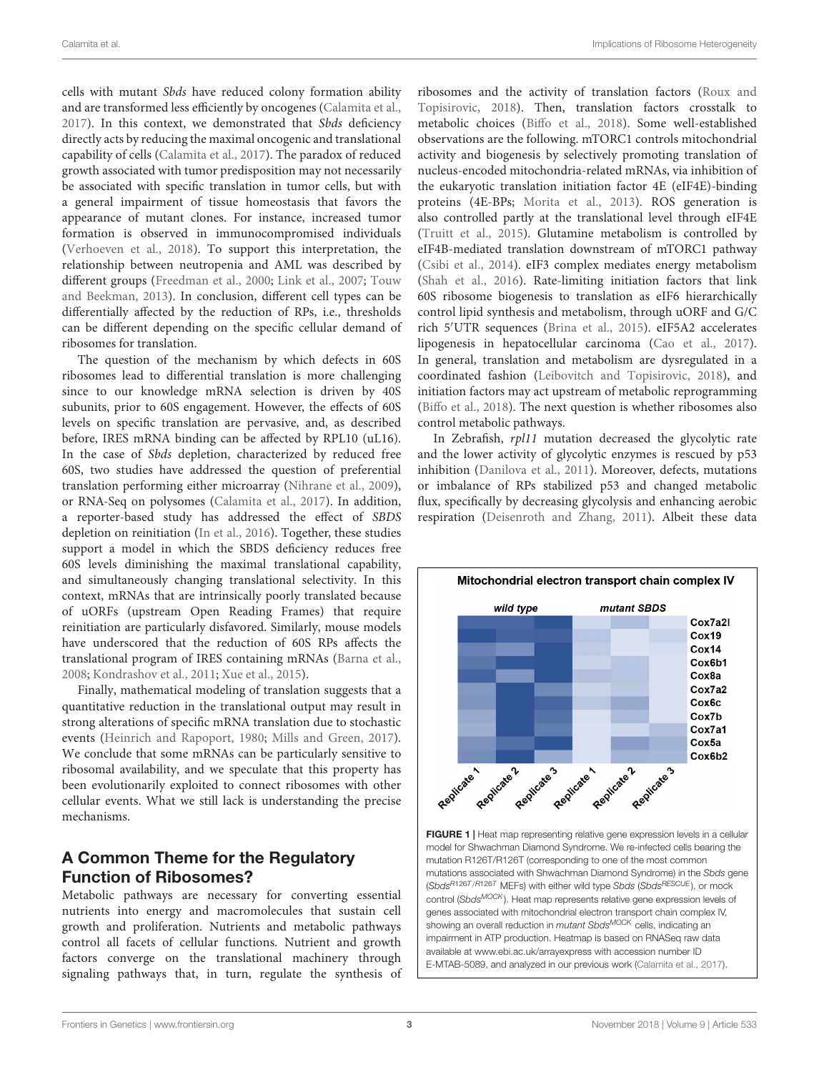cells with mutant Sbds have reduced colony formation ability and are transformed less efficiently by oncogenes [\(Calamita et al.,](#page-5-18) [2017\)](#page-5-18). In this context, we demonstrated that Sbds deficiency directly acts by reducing the maximal oncogenic and translational capability of cells [\(Calamita et al.,](#page-5-18) [2017\)](#page-5-18). The paradox of reduced growth associated with tumor predisposition may not necessarily be associated with specific translation in tumor cells, but with a general impairment of tissue homeostasis that favors the appearance of mutant clones. For instance, increased tumor formation is observed in immunocompromised individuals [\(Verhoeven et al.,](#page-7-10) [2018\)](#page-7-10). To support this interpretation, the relationship between neutropenia and AML was described by different groups [\(Freedman et al.,](#page-5-19) [2000;](#page-5-19) [Link et al.,](#page-6-17) [2007;](#page-6-17) [Touw](#page-7-11) [and Beekman,](#page-7-11) [2013\)](#page-7-11). In conclusion, different cell types can be differentially affected by the reduction of RPs, i.e., thresholds can be different depending on the specific cellular demand of ribosomes for translation.

The question of the mechanism by which defects in 60S ribosomes lead to differential translation is more challenging since to our knowledge mRNA selection is driven by 40S subunits, prior to 60S engagement. However, the effects of 60S levels on specific translation are pervasive, and, as described before, IRES mRNA binding can be affected by RPL10 (uL16). In the case of Sbds depletion, characterized by reduced free 60S, two studies have addressed the question of preferential translation performing either microarray [\(Nihrane et al.,](#page-6-18) [2009\)](#page-6-18), or RNA-Seq on polysomes [\(Calamita et al.,](#page-5-18) [2017\)](#page-5-18). In addition, a reporter-based study has addressed the effect of SBDS depletion on reinitiation [\(In et al.,](#page-5-4) [2016\)](#page-5-4). Together, these studies support a model in which the SBDS deficiency reduces free 60S levels diminishing the maximal translational capability, and simultaneously changing translational selectivity. In this context, mRNAs that are intrinsically poorly translated because of uORFs (upstream Open Reading Frames) that require reinitiation are particularly disfavored. Similarly, mouse models have underscored that the reduction of 60S RPs affects the translational program of IRES containing mRNAs [\(Barna et al.,](#page-4-0) [2008;](#page-4-0) [Kondrashov et al.,](#page-6-19) [2011;](#page-6-19) [Xue et al.,](#page-7-12) [2015\)](#page-7-12).

Finally, mathematical modeling of translation suggests that a quantitative reduction in the translational output may result in strong alterations of specific mRNA translation due to stochastic events [\(Heinrich and Rapoport,](#page-5-20) [1980;](#page-5-20) [Mills and Green,](#page-6-20) [2017\)](#page-6-20). We conclude that some mRNAs can be particularly sensitive to ribosomal availability, and we speculate that this property has been evolutionarily exploited to connect ribosomes with other cellular events. What we still lack is understanding the precise mechanisms.

#### A Common Theme for the Regulatory Function of Ribosomes?

Metabolic pathways are necessary for converting essential nutrients into energy and macromolecules that sustain cell growth and proliferation. Nutrients and metabolic pathways control all facets of cellular functions. Nutrient and growth factors converge on the translational machinery through signaling pathways that, in turn, regulate the synthesis of ribosomes and the activity of translation factors [\(Roux and](#page-6-21) [Topisirovic,](#page-6-21) [2018\)](#page-6-21). Then, translation factors crosstalk to metabolic choices [\(Biffo et al.,](#page-5-21) [2018\)](#page-5-21). Some well-established observations are the following. mTORC1 controls mitochondrial activity and biogenesis by selectively promoting translation of nucleus-encoded mitochondria-related mRNAs, via inhibition of the eukaryotic translation initiation factor 4E (eIF4E)-binding proteins (4E-BPs; [Morita et al.,](#page-6-22) [2013\)](#page-6-22). ROS generation is also controlled partly at the translational level through eIF4E [\(Truitt et al.,](#page-7-13) [2015\)](#page-7-13). Glutamine metabolism is controlled by eIF4B-mediated translation downstream of mTORC1 pathway [\(Csibi et al.,](#page-5-22) [2014\)](#page-5-22). eIF3 complex mediates energy metabolism [\(Shah et al.,](#page-6-23) [2016\)](#page-6-23). Rate-limiting initiation factors that link 60S ribosome biogenesis to translation as eIF6 hierarchically control lipid synthesis and metabolism, through uORF and G/C rich 5'UTR sequences [\(Brina et al.,](#page-5-3) [2015\)](#page-5-3). eIF5A2 accelerates lipogenesis in hepatocellular carcinoma [\(Cao et al.,](#page-5-23) [2017\)](#page-5-23). In general, translation and metabolism are dysregulated in a coordinated fashion [\(Leibovitch and Topisirovic,](#page-6-24) [2018\)](#page-6-24), and initiation factors may act upstream of metabolic reprogramming [\(Biffo et al.,](#page-5-21) [2018\)](#page-5-21). The next question is whether ribosomes also control metabolic pathways.

In Zebrafish, rpl11 mutation decreased the glycolytic rate and the lower activity of glycolytic enzymes is rescued by p53 inhibition [\(Danilova et al.,](#page-5-24) [2011\)](#page-5-24). Moreover, defects, mutations or imbalance of RPs stabilized p53 and changed metabolic flux, specifically by decreasing glycolysis and enhancing aerobic respiration [\(Deisenroth and Zhang,](#page-5-25) [2011\)](#page-5-25). Albeit these data



<span id="page-2-0"></span>impairment in ATP production. Heatmap is based on RNASeq raw data available at [www.ebi.ac.uk/arrayexpress](http://www.ebi.ac.uk/arrayexpress) with accession number ID E-MTAB-5089, and analyzed in our previous work [\(Calamita et al.,](#page-5-18) [2017\)](#page-5-18).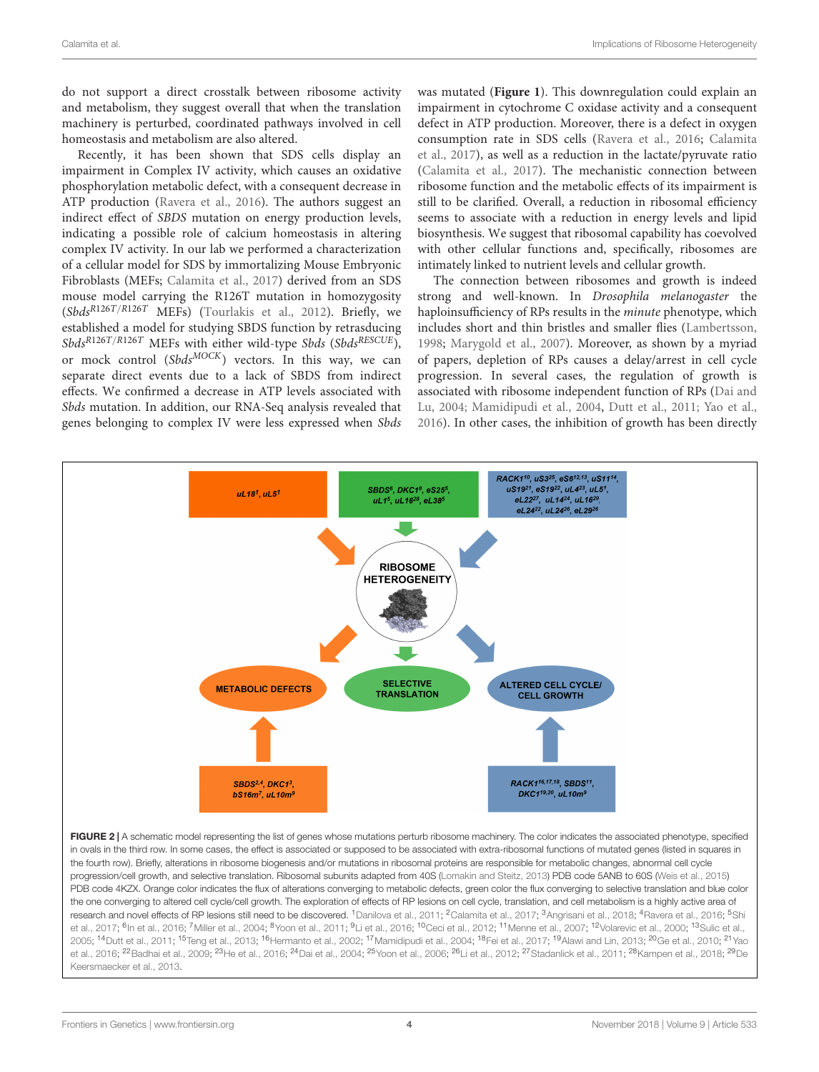do not support a direct crosstalk between ribosome activity and metabolism, they suggest overall that when the translation machinery is perturbed, coordinated pathways involved in cell homeostasis and metabolism are also altered.

Recently, it has been shown that SDS cells display an impairment in Complex IV activity, which causes an oxidative phosphorylation metabolic defect, with a consequent decrease in ATP production [\(Ravera et al.,](#page-6-25) [2016\)](#page-6-25). The authors suggest an indirect effect of SBDS mutation on energy production levels, indicating a possible role of calcium homeostasis in altering complex IV activity. In our lab we performed a characterization of a cellular model for SDS by immortalizing Mouse Embryonic Fibroblasts (MEFs; [Calamita et al.,](#page-5-18) [2017\)](#page-5-18) derived from an SDS mouse model carrying the R126T mutation in homozygosity  $(Sbds^{R126T/R126T}$  MEFs) [\(Tourlakis et al.,](#page-7-14) [2012\)](#page-7-14). Briefly, we established a model for studying SBDS function by retrasducing Sbds<sup>R126T/R126T</sup> MEFs with either wild-type Sbds (Sbds<sup>RESCUE</sup>), or mock control  $(Sbds^{MOCK})$  vectors. In this way, we can separate direct events due to a lack of SBDS from indirect effects. We confirmed a decrease in ATP levels associated with Sbds mutation. In addition, our RNA-Seq analysis revealed that genes belonging to complex IV were less expressed when Sbds was mutated (**[Figure 1](#page-2-0)**). This downregulation could explain an impairment in cytochrome C oxidase activity and a consequent defect in ATP production. Moreover, there is a defect in oxygen consumption rate in SDS cells [\(Ravera et al.,](#page-6-25) [2016;](#page-6-25) [Calamita](#page-5-18) [et al.,](#page-5-18) [2017\)](#page-5-18), as well as a reduction in the lactate/pyruvate ratio [\(Calamita et al.,](#page-5-18) [2017\)](#page-5-18). The mechanistic connection between ribosome function and the metabolic effects of its impairment is still to be clarified. Overall, a reduction in ribosomal efficiency seems to associate with a reduction in energy levels and lipid biosynthesis. We suggest that ribosomal capability has coevolved with other cellular functions and, specifically, ribosomes are intimately linked to nutrient levels and cellular growth.

The connection between ribosomes and growth is indeed strong and well-known. In Drosophila melanogaster the haploinsufficiency of RPs results in the minute phenotype, which includes short and thin bristles and smaller flies [\(Lambertsson,](#page-6-26) [1998;](#page-6-26) [Marygold et al.,](#page-6-27) [2007\)](#page-6-27). Moreover, as shown by a myriad of papers, depletion of RPs causes a delay/arrest in cell cycle progression. In several cases, the regulation of growth is associated with ribosome independent function of RPs [\(Dai and](#page-5-26) [Lu,](#page-5-26) [2004;](#page-5-26) [Mamidipudi et al.,](#page-6-11) [2004,](#page-6-11) [Dutt et al.,](#page-5-27) [2011;](#page-5-27) [Yao et al.,](#page-7-15) [2016\)](#page-7-15). In other cases, the inhibition of growth has been directly



<span id="page-3-0"></span>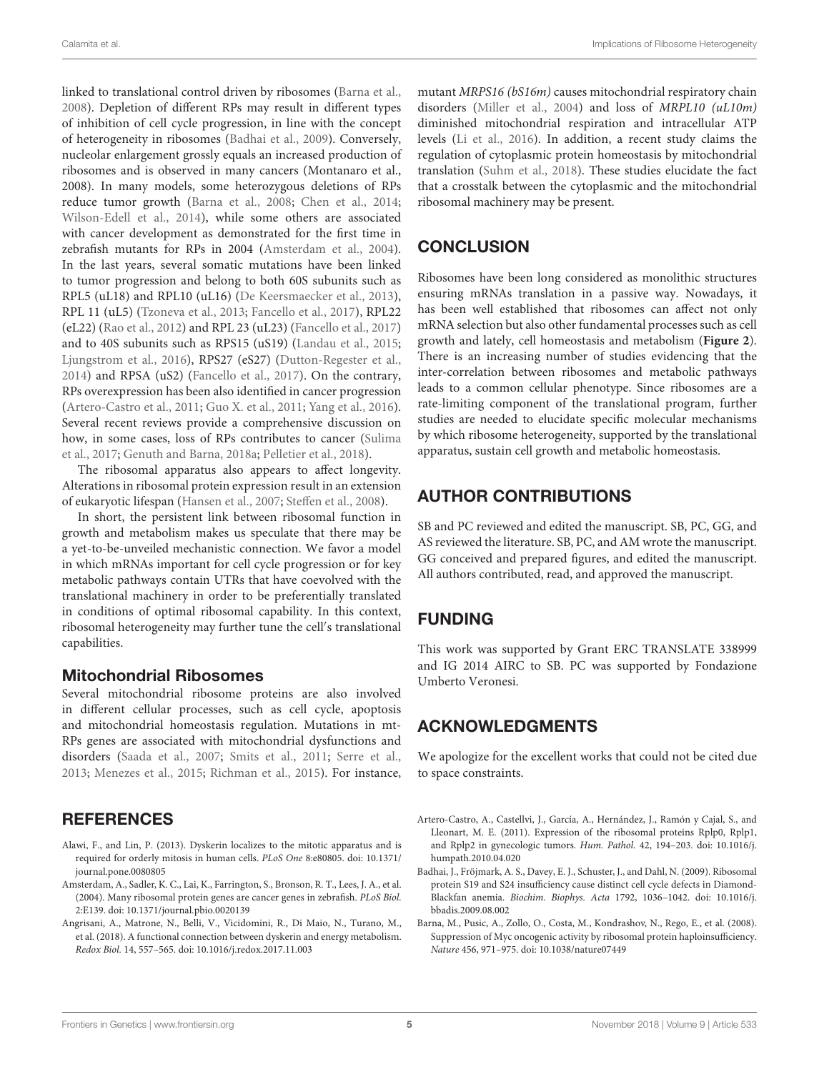linked to translational control driven by ribosomes [\(Barna et al.,](#page-4-0) [2008\)](#page-4-0). Depletion of different RPs may result in different types of inhibition of cell cycle progression, in line with the concept of heterogeneity in ribosomes [\(Badhai et al.,](#page-4-3) [2009\)](#page-4-3). Conversely, nucleolar enlargement grossly equals an increased production of ribosomes and is observed in many cancers (Montanaro et al., 2008). In many models, some heterozygous deletions of RPs reduce tumor growth [\(Barna et al.,](#page-4-0) [2008;](#page-4-0) [Chen et al.,](#page-5-34) [2014;](#page-5-34) [Wilson-Edell et al.,](#page-7-22) [2014\)](#page-7-22), while some others are associated with cancer development as demonstrated for the first time in zebrafish mutants for RPs in 2004 [\(Amsterdam et al.,](#page-4-4) [2004\)](#page-4-4). In the last years, several somatic mutations have been linked to tumor progression and belong to both 60S subunits such as RPL5 (uL18) and RPL10 (uL16) [\(De Keersmaecker et al.,](#page-5-33) [2013\)](#page-5-33), RPL 11 (uL5) [\(Tzoneva et al.,](#page-7-23) [2013;](#page-7-23) [Fancello et al.,](#page-5-35) [2017\)](#page-5-35), RPL22 (eL22) [\(Rao et al.,](#page-6-33) [2012\)](#page-6-33) and RPL 23 (uL23) [\(Fancello et al.,](#page-5-35) [2017\)](#page-5-35) and to 40S subunits such as RPS15 (uS19) [\(Landau et al.,](#page-6-34) [2015;](#page-6-34) [Ljungstrom et al.,](#page-6-35) [2016\)](#page-6-35), RPS27 (eS27) [\(Dutton-Regester et al.,](#page-5-36) [2014\)](#page-5-36) and RPSA (uS2) [\(Fancello et al.,](#page-5-35) [2017\)](#page-5-35). On the contrary, RPs overexpression has been also identified in cancer progression [\(Artero-Castro et al.,](#page-4-5) [2011;](#page-4-5) [Guo X. et al.,](#page-5-37) [2011;](#page-5-37) [Yang et al.,](#page-7-24) [2016\)](#page-7-24). Several recent reviews provide a comprehensive discussion on how, in some cases, loss of RPs contributes to cancer [\(Sulima](#page-7-25) [et al.,](#page-7-25) [2017;](#page-7-25) [Genuth and Barna,](#page-5-5) [2018a;](#page-5-5) [Pelletier et al.,](#page-6-36) [2018\)](#page-6-36).

The ribosomal apparatus also appears to affect longevity. Alterations in ribosomal protein expression result in an extension of eukaryotic lifespan [\(Hansen et al.,](#page-5-38) [2007;](#page-5-38) [Steffen et al.,](#page-7-26) [2008\)](#page-7-26).

In short, the persistent link between ribosomal function in growth and metabolism makes us speculate that there may be a yet-to-be-unveiled mechanistic connection. We favor a model in which mRNAs important for cell cycle progression or for key metabolic pathways contain UTRs that have coevolved with the translational machinery in order to be preferentially translated in conditions of optimal ribosomal capability. In this context, ribosomal heterogeneity may further tune the cell's translational capabilities.

#### Mitochondrial Ribosomes

Several mitochondrial ribosome proteins are also involved in different cellular processes, such as cell cycle, apoptosis and mitochondrial homeostasis regulation. Mutations in mt-RPs genes are associated with mitochondrial dysfunctions and disorders [\(Saada et al.,](#page-6-37) [2007;](#page-6-37) [Smits et al.,](#page-7-27) [2011;](#page-7-27) [Serre et al.,](#page-6-38) [2013;](#page-6-38) [Menezes et al.,](#page-6-39) [2015;](#page-6-39) [Richman et al.,](#page-6-40) [2015\)](#page-6-40). For instance,

### **REFERENCES**

- <span id="page-4-2"></span>Alawi, F., and Lin, P. (2013). Dyskerin localizes to the mitotic apparatus and is required for orderly mitosis in human cells. PLoS One 8:e80805. [doi: 10.1371/](https://doi.org/10.1371/journal.pone.0080805) [journal.pone.0080805](https://doi.org/10.1371/journal.pone.0080805)
- <span id="page-4-4"></span>Amsterdam, A., Sadler, K. C., Lai, K., Farrington, S., Bronson, R. T., Lees, J. A., et al. (2004). Many ribosomal protein genes are cancer genes in zebrafish. PLoS Biol. 2:E139. [doi: 10.1371/journal.pbio.0020139](https://doi.org/10.1371/journal.pbio.0020139)
- <span id="page-4-1"></span>Angrisani, A., Matrone, N., Belli, V., Vicidomini, R., Di Maio, N., Turano, M., et al. (2018). A functional connection between dyskerin and energy metabolism. Redox Biol. 14, 557–565. [doi: 10.1016/j.redox.2017.11.003](https://doi.org/10.1016/j.redox.2017.11.003)

mutant MRPS16 (bS16m) causes mitochondrial respiratory chain disorders [\(Miller et al.,](#page-6-29) [2004\)](#page-6-29) and loss of MRPL10 (uL10m) diminished mitochondrial respiration and intracellular ATP levels [\(Li et al.,](#page-6-30) [2016\)](#page-6-30). In addition, a recent study claims the regulation of cytoplasmic protein homeostasis by mitochondrial translation [\(Suhm et al.,](#page-7-28) [2018\)](#page-7-28). These studies elucidate the fact that a crosstalk between the cytoplasmic and the mitochondrial ribosomal machinery may be present.

### **CONCLUSION**

Ribosomes have been long considered as monolithic structures ensuring mRNAs translation in a passive way. Nowadays, it has been well established that ribosomes can affect not only mRNA selection but also other fundamental processes such as cell growth and lately, cell homeostasis and metabolism (**[Figure 2](#page-3-0)**). There is an increasing number of studies evidencing that the inter-correlation between ribosomes and metabolic pathways leads to a common cellular phenotype. Since ribosomes are a rate-limiting component of the translational program, further studies are needed to elucidate specific molecular mechanisms by which ribosome heterogeneity, supported by the translational apparatus, sustain cell growth and metabolic homeostasis.

### AUTHOR CONTRIBUTIONS

SB and PC reviewed and edited the manuscript. SB, PC, GG, and AS reviewed the literature. SB, PC, and AM wrote the manuscript. GG conceived and prepared figures, and edited the manuscript. All authors contributed, read, and approved the manuscript.

# FUNDING

This work was supported by Grant ERC TRANSLATE 338999 and IG 2014 AIRC to SB. PC was supported by Fondazione Umberto Veronesi.

# ACKNOWLEDGMENTS

We apologize for the excellent works that could not be cited due to space constraints.

- <span id="page-4-5"></span>Artero-Castro, A., Castellvi, J., García, A., Hernández, J., Ramón y Cajal, S., and Lleonart, M. E. (2011). Expression of the ribosomal proteins Rplp0, Rplp1, and Rplp2 in gynecologic tumors. Hum. Pathol. 42, 194–203. [doi: 10.1016/j.](https://doi.org/10.1016/j.humpath.2010.04.020) [humpath.2010.04.020](https://doi.org/10.1016/j.humpath.2010.04.020)
- <span id="page-4-3"></span>Badhai, J., Fröjmark, A. S., Davey, E. J., Schuster, J., and Dahl, N. (2009). Ribosomal protein S19 and S24 insufficiency cause distinct cell cycle defects in Diamond-Blackfan anemia. Biochim. Biophys. Acta 1792, 1036–1042. [doi: 10.1016/j.](https://doi.org/10.1016/j.bbadis.2009.08.002) [bbadis.2009.08.002](https://doi.org/10.1016/j.bbadis.2009.08.002)
- <span id="page-4-0"></span>Barna, M., Pusic, A., Zollo, O., Costa, M., Kondrashov, N., Rego, E., et al. (2008). Suppression of Myc oncogenic activity by ribosomal protein haploinsufficiency. Nature 456, 971–975. [doi: 10.1038/nature07449](https://doi.org/10.1038/nature07449)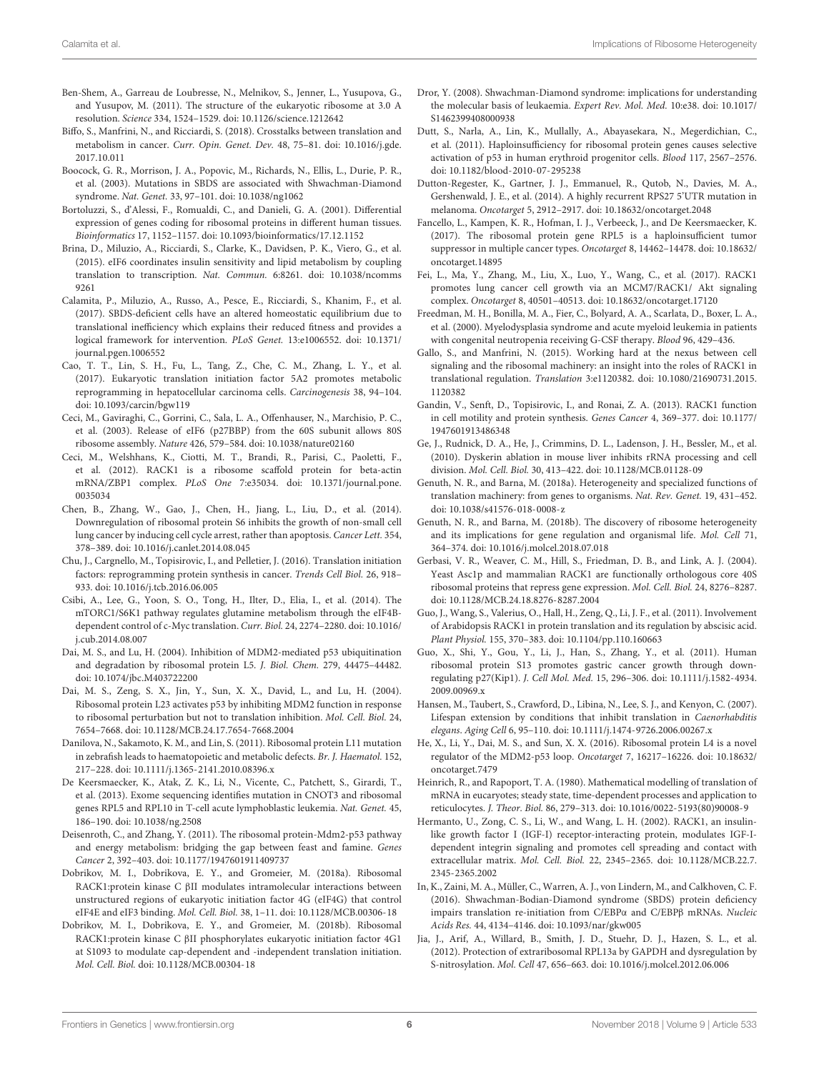- <span id="page-5-0"></span>Ben-Shem, A., Garreau de Loubresse, N., Melnikov, S., Jenner, L., Yusupova, G., and Yusupov, M. (2011). The structure of the eukaryotic ribosome at 3.0 A resolution. Science 334, 1524–1529. [doi: 10.1126/science.1212642](https://doi.org/10.1126/science.1212642)
- <span id="page-5-21"></span>Biffo, S., Manfrini, N., and Ricciardi, S. (2018). Crosstalks between translation and metabolism in cancer. Curr. Opin. Genet. Dev. 48, 75–81. [doi: 10.1016/j.gde.](https://doi.org/10.1016/j.gde.2017.10.011) [2017.10.011](https://doi.org/10.1016/j.gde.2017.10.011)
- <span id="page-5-17"></span>Boocock, G. R., Morrison, J. A., Popovic, M., Richards, N., Ellis, L., Durie, P. R., et al. (2003). Mutations in SBDS are associated with Shwachman-Diamond syndrome. Nat. Genet. 33, 97–101. [doi: 10.1038/ng1062](https://doi.org/10.1038/ng1062)
- <span id="page-5-2"></span>Bortoluzzi, S., d'Alessi, F., Romualdi, C., and Danieli, G. A. (2001). Differential expression of genes coding for ribosomal proteins in different human tissues. Bioinformatics 17, 1152–1157. [doi: 10.1093/bioinformatics/17.12.1152](https://doi.org/10.1093/bioinformatics/17.12.1152)
- <span id="page-5-3"></span>Brina, D., Miluzio, A., Ricciardi, S., Clarke, K., Davidsen, P. K., Viero, G., et al. (2015). eIF6 coordinates insulin sensitivity and lipid metabolism by coupling translation to transcription. Nat. Commun. 6:8261. [doi: 10.1038/ncomms](https://doi.org/10.1038/ncomms9261) [9261](https://doi.org/10.1038/ncomms9261)
- <span id="page-5-18"></span>Calamita, P., Miluzio, A., Russo, A., Pesce, E., Ricciardi, S., Khanim, F., et al. (2017). SBDS-deficient cells have an altered homeostatic equilibrium due to translational inefficiency which explains their reduced fitness and provides a logical framework for intervention. PLoS Genet. 13:e1006552. [doi: 10.1371/](https://doi.org/10.1371/journal.pgen.1006552) [journal.pgen.1006552](https://doi.org/10.1371/journal.pgen.1006552)
- <span id="page-5-23"></span>Cao, T. T., Lin, S. H., Fu, L., Tang, Z., Che, C. M., Zhang, L. Y., et al. (2017). Eukaryotic translation initiation factor 5A2 promotes metabolic reprogramming in hepatocellular carcinoma cells. Carcinogenesis 38, 94–104. [doi: 10.1093/carcin/bgw119](https://doi.org/10.1093/carcin/bgw119)
- <span id="page-5-11"></span>Ceci, M., Gaviraghi, C., Gorrini, C., Sala, L. A., Offenhauser, N., Marchisio, P. C., et al. (2003). Release of eIF6 (p27BBP) from the 60S subunit allows 80S ribosome assembly. Nature 426, 579–584. [doi: 10.1038/nature02160](https://doi.org/10.1038/nature02160)
- <span id="page-5-28"></span>Ceci, M., Welshhans, K., Ciotti, M. T., Brandi, R., Parisi, C., Paoletti, F., et al. (2012). RACK1 is a ribosome scaffold protein for beta-actin mRNA/ZBP1 complex. PLoS One 7:e35034. [doi: 10.1371/journal.pone.](https://doi.org/10.1371/journal.pone.0035034) [0035034](https://doi.org/10.1371/journal.pone.0035034)
- <span id="page-5-34"></span>Chen, B., Zhang, W., Gao, J., Chen, H., Jiang, L., Liu, D., et al. (2014). Downregulation of ribosomal protein S6 inhibits the growth of non-small cell lung cancer by inducing cell cycle arrest, rather than apoptosis. Cancer Lett. 354, 378–389. [doi: 10.1016/j.canlet.2014.08.045](https://doi.org/10.1016/j.canlet.2014.08.045)
- <span id="page-5-1"></span>Chu, J., Cargnello, M., Topisirovic, I., and Pelletier, J. (2016). Translation initiation factors: reprogramming protein synthesis in cancer. Trends Cell Biol. 26, 918– 933. [doi: 10.1016/j.tcb.2016.06.005](https://doi.org/10.1016/j.tcb.2016.06.005)
- <span id="page-5-22"></span>Csibi, A., Lee, G., Yoon, S. O., Tong, H., Ilter, D., Elia, I., et al. (2014). The mTORC1/S6K1 pathway regulates glutamine metabolism through the eIF4Bdependent control of c-Myc translation. Curr. Biol. 24, 2274–2280. [doi: 10.1016/](https://doi.org/10.1016/j.cub.2014.08.007) [j.cub.2014.08.007](https://doi.org/10.1016/j.cub.2014.08.007)
- <span id="page-5-26"></span>Dai, M. S., and Lu, H. (2004). Inhibition of MDM2-mediated p53 ubiquitination and degradation by ribosomal protein L5. J. Biol. Chem. 279, 44475–44482. [doi: 10.1074/jbc.M403722200](https://doi.org/10.1074/jbc.M403722200)
- <span id="page-5-32"></span>Dai, M. S., Zeng, S. X., Jin, Y., Sun, X. X., David, L., and Lu, H. (2004). Ribosomal protein L23 activates p53 by inhibiting MDM2 function in response to ribosomal perturbation but not to translation inhibition. Mol. Cell. Biol. 24, 7654–7668. [doi: 10.1128/MCB.24.17.7654-7668.2004](https://doi.org/10.1128/MCB.24.17.7654-7668.2004)
- <span id="page-5-24"></span>Danilova, N., Sakamoto, K. M., and Lin, S. (2011). Ribosomal protein L11 mutation in zebrafish leads to haematopoietic and metabolic defects. Br. J. Haematol. 152, 217–228. [doi: 10.1111/j.1365-2141.2010.08396.x](https://doi.org/10.1111/j.1365-2141.2010.08396.x)
- <span id="page-5-33"></span>De Keersmaecker, K., Atak, Z. K., Li, N., Vicente, C., Patchett, S., Girardi, T., et al. (2013). Exome sequencing identifies mutation in CNOT3 and ribosomal genes RPL5 and RPL10 in T-cell acute lymphoblastic leukemia. Nat. Genet. 45, 186–190. [doi: 10.1038/ng.2508](https://doi.org/10.1038/ng.2508)
- <span id="page-5-25"></span>Deisenroth, C., and Zhang, Y. (2011). The ribosomal protein-Mdm2-p53 pathway and energy metabolism: bridging the gap between feast and famine. Genes Cancer 2, 392–403. [doi: 10.1177/1947601911409737](https://doi.org/ 10.1177/1947601911409737)
- <span id="page-5-13"></span>Dobrikov, M. I., Dobrikova, E. Y., and Gromeier, M. (2018a). Ribosomal RACK1:protein kinase C βII modulates intramolecular interactions between unstructured regions of eukaryotic initiation factor 4G (eIF4G) that control eIF4E and eIF3 binding. Mol. Cell. Biol. 38, 1–11. [doi: 10.1128/MCB.00306-18](https://doi.org/10.1128/MCB.00306-18)
- <span id="page-5-14"></span>Dobrikov, M. I., Dobrikova, E. Y., and Gromeier, M. (2018b). Ribosomal RACK1:protein kinase C βII phosphorylates eukaryotic initiation factor 4G1 at S1093 to modulate cap-dependent and -independent translation initiation. Mol. Cell. Biol. [doi: 10.1128/MCB.00304-18](https://doi.org/10.1128/MCB.00304-18)
- <span id="page-5-16"></span>Dror, Y. (2008). Shwachman-Diamond syndrome: implications for understanding the molecular basis of leukaemia. Expert Rev. Mol. Med. 10:e38. [doi: 10.1017/](https://doi.org/10.1017/S1462399408000938) [S1462399408000938](https://doi.org/10.1017/S1462399408000938)
- <span id="page-5-27"></span>Dutt, S., Narla, A., Lin, K., Mullally, A., Abayasekara, N., Megerdichian, C., et al. (2011). Haploinsufficiency for ribosomal protein genes causes selective activation of p53 in human erythroid progenitor cells. Blood 117, 2567–2576. [doi: 10.1182/blood-2010-07-295238](https://doi.org/10.1182/blood-2010-07-295238)
- <span id="page-5-36"></span>Dutton-Regester, K., Gartner, J. J., Emmanuel, R., Qutob, N., Davies, M. A., Gershenwald, J. E., et al. (2014). A highly recurrent RPS27 5'UTR mutation in melanoma. Oncotarget 5, 2912–2917. [doi: 10.18632/oncotarget.2048](https://doi.org/10.18632/oncotarget.2048)
- <span id="page-5-35"></span>Fancello, L., Kampen, K. R., Hofman, I. J., Verbeeck, J., and De Keersmaecker, K. (2017). The ribosomal protein gene RPL5 is a haploinsufficient tumor suppressor in multiple cancer types. Oncotarget 8, 14462–14478. [doi: 10.18632/](https://doi.org/10.18632/oncotarget.14895) [oncotarget.14895](https://doi.org/10.18632/oncotarget.14895)
- <span id="page-5-10"></span>Fei, L., Ma, Y., Zhang, M., Liu, X., Luo, Y., Wang, C., et al. (2017). RACK1 promotes lung cancer cell growth via an MCM7/RACK1/ Akt signaling complex. Oncotarget 8, 40501–40513. [doi: 10.18632/oncotarget.17120](https://doi.org/10.18632/oncotarget.17120)
- <span id="page-5-19"></span>Freedman, M. H., Bonilla, M. A., Fier, C., Bolyard, A. A., Scarlata, D., Boxer, L. A., et al. (2000). Myelodysplasia syndrome and acute myeloid leukemia in patients with congenital neutropenia receiving G-CSF therapy. Blood 96, 429–436.
- <span id="page-5-7"></span>Gallo, S., and Manfrini, N. (2015). Working hard at the nexus between cell signaling and the ribosomal machinery: an insight into the roles of RACK1 in translational regulation. Translation 3:e1120382. [doi: 10.1080/21690731.2015.](https://doi.org/10.1080/21690731.2015.1120382) [1120382](https://doi.org/10.1080/21690731.2015.1120382)
- <span id="page-5-9"></span>Gandin, V., Senft, D., Topisirovic, I., and Ronai, Z. A. (2013). RACK1 function in cell motility and protein synthesis. Genes Cancer 4, 369–377. [doi: 10.1177/](https://doi.org/10.1177/1947601913486348) [1947601913486348](https://doi.org/10.1177/1947601913486348)
- <span id="page-5-30"></span>Ge, J., Rudnick, D. A., He, J., Crimmins, D. L., Ladenson, J. H., Bessler, M., et al. (2010). Dyskerin ablation in mouse liver inhibits rRNA processing and cell division. Mol. Cell. Biol. 30, 413–422. [doi: 10.1128/MCB.01128-09](https://doi.org/10.1128/MCB.01128-09)
- <span id="page-5-5"></span>Genuth, N. R., and Barna, M. (2018a). Heterogeneity and specialized functions of translation machinery: from genes to organisms. Nat. Rev. Genet. 19, 431–452. [doi: 10.1038/s41576-018-0008-z](https://doi.org/10.1038/s41576-018-0008-z)
- <span id="page-5-6"></span>Genuth, N. R., and Barna, M. (2018b). The discovery of ribosome heterogeneity and its implications for gene regulation and organismal life. Mol. Cell 71, 364–374. [doi: 10.1016/j.molcel.2018.07.018](https://doi.org/10.1016/j.molcel.2018.07.018)
- <span id="page-5-8"></span>Gerbasi, V. R., Weaver, C. M., Hill, S., Friedman, D. B., and Link, A. J. (2004). Yeast Asc1p and mammalian RACK1 are functionally orthologous core 40S ribosomal proteins that repress gene expression. Mol. Cell. Biol. 24, 8276–8287. [doi: 10.1128/MCB.24.18.8276-8287.2004](https://doi.org/10.1128/MCB.24.18.8276-8287.2004)
- <span id="page-5-12"></span>Guo, J., Wang, S., Valerius, O., Hall, H., Zeng, Q., Li, J. F., et al. (2011). Involvement of Arabidopsis RACK1 in protein translation and its regulation by abscisic acid. Plant Physiol. 155, 370–383. [doi: 10.1104/pp.110.160663](https://doi.org/10.1104/pp.110.160663)
- <span id="page-5-37"></span>Guo, X., Shi, Y., Gou, Y., Li, J., Han, S., Zhang, Y., et al. (2011). Human ribosomal protein S13 promotes gastric cancer growth through downregulating p27(Kip1). J. Cell Mol. Med. 15, 296–306. [doi: 10.1111/j.1582-4934.](https://doi.org/10.1111/j.1582-4934.2009.00969.x) [2009.00969.x](https://doi.org/10.1111/j.1582-4934.2009.00969.x)
- <span id="page-5-38"></span>Hansen, M., Taubert, S., Crawford, D., Libina, N., Lee, S. J., and Kenyon, C. (2007). Lifespan extension by conditions that inhibit translation in Caenorhabditis elegans. Aging Cell 6, 95–110. [doi: 10.1111/j.1474-9726.2006.00267.x](https://doi.org/10.1111/j.1474-9726.2006.00267.x)
- <span id="page-5-31"></span>He, X., Li, Y., Dai, M. S., and Sun, X. X. (2016). Ribosomal protein L4 is a novel regulator of the MDM2-p53 loop. Oncotarget 7, 16217–16226. [doi: 10.18632/](https://doi.org/10.18632/oncotarget.7479) [oncotarget.7479](https://doi.org/10.18632/oncotarget.7479)
- <span id="page-5-20"></span>Heinrich, R., and Rapoport, T. A. (1980). Mathematical modelling of translation of mRNA in eucaryotes; steady state, time-dependent processes and application to reticulocytes. J. Theor. Biol. 86, 279–313. [doi: 10.1016/0022-5193\(80\)90008-9](https://doi.org/10.1016/0022-5193(80)90008-9)
- <span id="page-5-29"></span>Hermanto, U., Zong, C. S., Li, W., and Wang, L. H. (2002). RACK1, an insulinlike growth factor I (IGF-I) receptor-interacting protein, modulates IGF-Idependent integrin signaling and promotes cell spreading and contact with extracellular matrix. Mol. Cell. Biol. 22, 2345–2365. [doi: 10.1128/MCB.22.7.](https://doi.org/10.1128/MCB.22.7.2345-2365.2002) [2345-2365.2002](https://doi.org/10.1128/MCB.22.7.2345-2365.2002)
- <span id="page-5-4"></span>In, K., Zaini, M. A., Müller, C., Warren, A. J., von Lindern, M., and Calkhoven, C. F. (2016). Shwachman-Bodian-Diamond syndrome (SBDS) protein deficiency impairs translation re-initiation from C/EBPα and C/EBPβ mRNAs. Nucleic Acids Res. 44, 4134–4146. [doi: 10.1093/nar/gkw005](https://doi.org/10.1093/nar/gkw005)
- <span id="page-5-15"></span>Jia, J., Arif, A., Willard, B., Smith, J. D., Stuehr, D. J., Hazen, S. L., et al. (2012). Protection of extraribosomal RPL13a by GAPDH and dysregulation by S-nitrosylation. Mol. Cell 47, 656–663. [doi: 10.1016/j.molcel.2012.06.006](https://doi.org/10.1016/j.molcel.2012.06.006)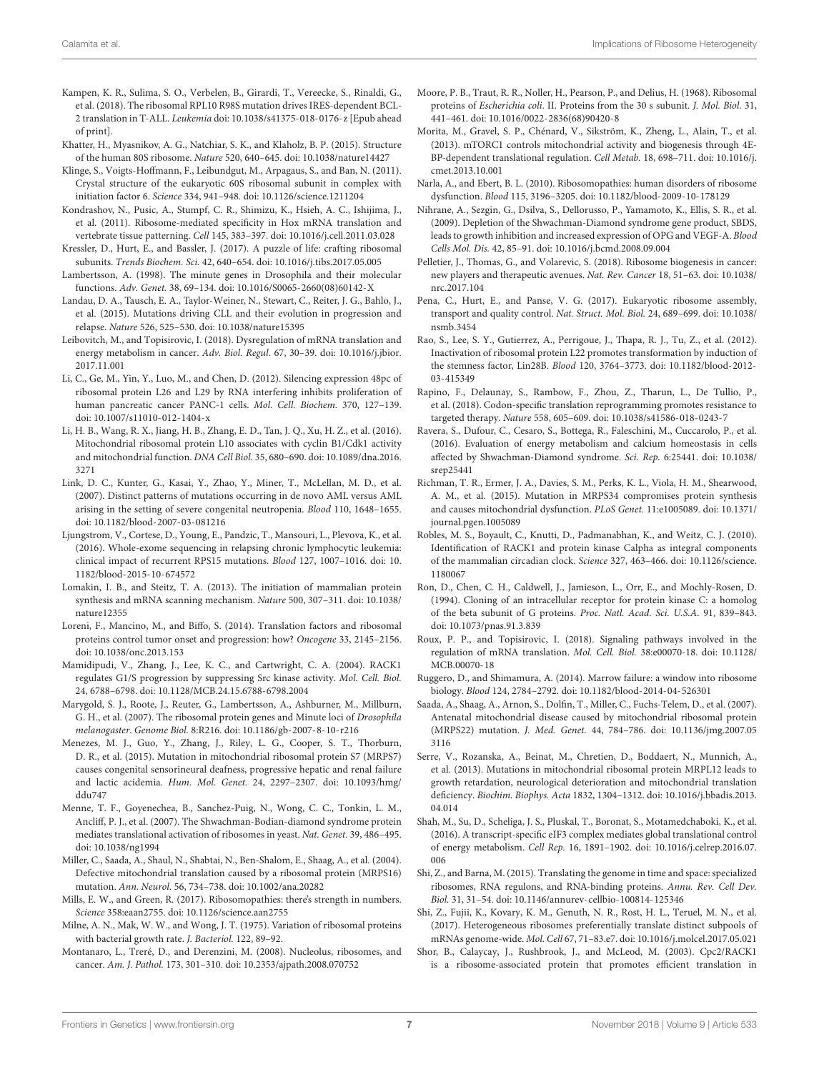- <span id="page-6-15"></span>Kampen, K. R., Sulima, S. O., Verbelen, B., Girardi, T., Vereecke, S., Rinaldi, G., et al. (2018). The ribosomal RPL10 R98S mutation drives IRES-dependent BCL-2 translation in T-ALL. Leukemia [doi: 10.1038/s41375-018-0176-z](https://doi.org/10.1038/s41375-018-0176-z) [Epub ahead of print].
- <span id="page-6-1"></span>Khatter, H., Myasnikov, A. G., Natchiar, S. K., and Klaholz, B. P. (2015). Structure of the human 80S ribosome. Nature 520, 640–645. [doi: 10.1038/nature14427](https://doi.org/10.1038/nature14427)
- <span id="page-6-0"></span>Klinge, S., Voigts-Hoffmann, F., Leibundgut, M., Arpagaus, S., and Ban, N. (2011). Crystal structure of the eukaryotic 60S ribosomal subunit in complex with initiation factor 6. Science 334, 941–948. [doi: 10.1126/science.1211204](https://doi.org/10.1126/science.1211204)
- <span id="page-6-19"></span>Kondrashov, N., Pusic, A., Stumpf, C. R., Shimizu, K., Hsieh, A. C., Ishijima, J., et al. (2011). Ribosome-mediated specificity in Hox mRNA translation and vertebrate tissue patterning. Cell 145, 383–397. [doi: 10.1016/j.cell.2011.03.028](https://doi.org/10.1016/j.cell.2011.03.028)
- <span id="page-6-2"></span>Kressler, D., Hurt, E., and Bassler, J. (2017). A puzzle of life: crafting ribosomal subunits. Trends Biochem. Sci. 42, 640–654. [doi: 10.1016/j.tibs.2017.05.005](https://doi.org/10.1016/j.tibs.2017.05.005)
- <span id="page-6-26"></span>Lambertsson, A. (1998). The minute genes in Drosophila and their molecular functions. Adv. Genet. 38, 69–134. [doi: 10.1016/S0065-2660\(08\)60142-X](https://doi.org/10.1016/S0065-2660(08)60142-X)
- <span id="page-6-34"></span>Landau, D. A., Tausch, E. A., Taylor-Weiner, N., Stewart, C., Reiter, J. G., Bahlo, J., et al. (2015). Mutations driving CLL and their evolution in progression and relapse. Nature 526, 525–530. [doi: 10.1038/nature15395](https://doi.org/10.1038/nature15395)
- <span id="page-6-24"></span>Leibovitch, M., and Topisirovic, I. (2018). Dysregulation of mRNA translation and energy metabolism in cancer. Adv. Biol. Regul. 67, 30–39. [doi: 10.1016/j.jbior.](https://doi.org/10.1016/j.jbior.2017.11.001) [2017.11.001](https://doi.org/10.1016/j.jbior.2017.11.001)
- <span id="page-6-32"></span>Li, C., Ge, M., Yin, Y., Luo, M., and Chen, D. (2012). Silencing expression 48pc of ribosomal protein L26 and L29 by RNA interfering inhibits proliferation of human pancreatic cancer PANC-1 cells. Mol. Cell. Biochem. 370, 127–139. [doi: 10.1007/s11010-012-1404-x](https://doi.org/10.1007/s11010-012-1404-x)
- <span id="page-6-30"></span>Li, H. B., Wang, R. X., Jiang, H. B., Zhang, E. D., Tan, J. Q., Xu, H. Z., et al. (2016). Mitochondrial ribosomal protein L10 associates with cyclin B1/Cdk1 activity and mitochondrial function. DNA Cell Biol. 35, 680–690. [doi: 10.1089/dna.2016.](https://doi.org/10.1089/dna.2016.3271) [3271](https://doi.org/10.1089/dna.2016.3271)
- <span id="page-6-17"></span>Link, D. C., Kunter, G., Kasai, Y., Zhao, Y., Miner, T., McLellan, M. D., et al. (2007). Distinct patterns of mutations occurring in de novo AML versus AML arising in the setting of severe congenital neutropenia. Blood 110, 1648–1655. [doi: 10.1182/blood-2007-03-081216](https://doi.org/10.1182/blood-2007-03-081216)
- <span id="page-6-35"></span>Ljungstrom, V., Cortese, D., Young, E., Pandzic, T., Mansouri, L., Plevova, K., et al. (2016). Whole-exome sequencing in relapsing chronic lymphocytic leukemia: clinical impact of recurrent RPS15 mutations. Blood 127, 1007–1016. [doi: 10.](https://doi.org/10.1182/blood-2015-10-674572) [1182/blood-2015-10-674572](https://doi.org/10.1182/blood-2015-10-674572)
- <span id="page-6-28"></span>Lomakin, I. B., and Steitz, T. A. (2013). The initiation of mammalian protein synthesis and mRNA scanning mechanism. Nature 500, 307–311. [doi: 10.1038/](https://doi.org/10.1038/nature12355) [nature12355](https://doi.org/10.1038/nature12355)
- <span id="page-6-6"></span>Loreni, F., Mancino, M., and Biffo, S. (2014). Translation factors and ribosomal proteins control tumor onset and progression: how? Oncogene 33, 2145–2156. [doi: 10.1038/onc.2013.153](https://doi.org/10.1038/onc.2013.153)
- <span id="page-6-11"></span>Mamidipudi, V., Zhang, J., Lee, K. C., and Cartwright, C. A. (2004). RACK1 regulates G1/S progression by suppressing Src kinase activity. Mol. Cell. Biol. 24, 6788–6798. [doi: 10.1128/MCB.24.15.6788-6798.2004](https://doi.org/10.1128/MCB.24.15.6788-6798.2004)
- <span id="page-6-27"></span>Marygold, S. J., Roote, J., Reuter, G., Lambertsson, A., Ashburner, M., Millburn, G. H., et al. (2007). The ribosomal protein genes and Minute loci of Drosophila melanogaster. Genome Biol. 8:R216. [doi: 10.1186/gb-2007-8-10-r216](https://doi.org/10.1186/gb-2007-8-10-r216)
- <span id="page-6-39"></span>Menezes, M. J., Guo, Y., Zhang, J., Riley, L. G., Cooper, S. T., Thorburn, D. R., et al. (2015). Mutation in mitochondrial ribosomal protein S7 (MRPS7) causes congenital sensorineural deafness, progressive hepatic and renal failure and lactic acidemia. Hum. Mol. Genet. 24, 2297–2307. [doi: 10.1093/hmg/](https://doi.org/10.1093/hmg/ddu747) [ddu747](https://doi.org/10.1093/hmg/ddu747)
- <span id="page-6-31"></span>Menne, T. F., Goyenechea, B., Sanchez-Puig, N., Wong, C. C., Tonkin, L. M., Ancliff, P. J., et al. (2007). The Shwachman-Bodian-diamond syndrome protein mediates translational activation of ribosomes in yeast. Nat. Genet. 39, 486–495. [doi: 10.1038/ng1994](https://doi.org/10.1038/ng1994)
- <span id="page-6-29"></span>Miller, C., Saada, A., Shaul, N., Shabtai, N., Ben-Shalom, E., Shaag, A., et al. (2004). Defective mitochondrial translation caused by a ribosomal protein (MRPS16) mutation. Ann. Neurol. 56, 734–738. [doi: 10.1002/ana.20282](https://doi.org/10.1002/ana.20282)
- <span id="page-6-20"></span>Mills, E. W., and Green, R. (2017). Ribosomopathies: there's strength in numbers. Science 358:eaan2755. [doi: 10.1126/science.aan2755](https://doi.org/10.1126/science.aan2755)
- <span id="page-6-8"></span>Milne, A. N., Mak, W. W., and Wong, J. T. (1975). Variation of ribosomal proteins with bacterial growth rate. J. Bacteriol. 122, 89–92.
- Montanaro, L., Treré, D., and Derenzini, M. (2008). Nucleolus, ribosomes, and cancer. Am. J. Pathol. 173, 301–310. [doi: 10.2353/ajpath.2008.070752](https://doi.org/10.2353/ajpath.2008.070752)
- <span id="page-6-16"></span>Moore, P. B., Traut, R. R., Noller, H., Pearson, P., and Delius, H. (1968). Ribosomal proteins of Escherichia coli. II. Proteins from the 30 s subunit. J. Mol. Biol. 31, 441–461. [doi: 10.1016/0022-2836\(68\)90420-8](https://doi.org/10.1016/0022-2836(68)90420-8)
- <span id="page-6-22"></span>Morita, M., Gravel, S. P., Chénard, V., Sikström, K., Zheng, L., Alain, T., et al. (2013). mTORC1 controls mitochondrial activity and biogenesis through 4E-BP-dependent translational regulation. Cell Metab. 18, 698–711. [doi: 10.1016/j.](https://doi.org/10.1016/j.cmet.2013.10.001) [cmet.2013.10.001](https://doi.org/10.1016/j.cmet.2013.10.001)
- <span id="page-6-4"></span>Narla, A., and Ebert, B. L. (2010). Ribosomopathies: human disorders of ribosome dysfunction. Blood 115, 3196–3205. [doi: 10.1182/blood-2009-10-178129](https://doi.org/10.1182/blood-2009-10-178129)
- <span id="page-6-18"></span>Nihrane, A., Sezgin, G., Dsilva, S., Dellorusso, P., Yamamoto, K., Ellis, S. R., et al. (2009). Depletion of the Shwachman-Diamond syndrome gene product, SBDS, leads to growth inhibition and increased expression of OPG and VEGF-A. Blood Cells Mol. Dis. 42, 85–91. [doi: 10.1016/j.bcmd.2008.09.004](https://doi.org/10.1016/j.bcmd.2008.09.004)
- <span id="page-6-36"></span>Pelletier, J., Thomas, G., and Volarevic, S. (2018). Ribosome biogenesis in cancer: new players and therapeutic avenues. Nat. Rev. Cancer 18, 51–63. [doi: 10.1038/](https://doi.org/10.1038/nrc.2017.104) [nrc.2017.104](https://doi.org/10.1038/nrc.2017.104)
- <span id="page-6-3"></span>Pena, C., Hurt, E., and Panse, V. G. (2017). Eukaryotic ribosome assembly, transport and quality control. Nat. Struct. Mol. Biol. 24, 689–699. [doi: 10.1038/](https://doi.org/10.1038/nsmb.3454) [nsmb.3454](https://doi.org/10.1038/nsmb.3454)
- <span id="page-6-33"></span>Rao, S., Lee, S. Y., Gutierrez, A., Perrigoue, J., Thapa, R. J., Tu, Z., et al. (2012). Inactivation of ribosomal protein L22 promotes transformation by induction of the stemness factor, Lin28B. Blood 120, 3764–3773. [doi: 10.1182/blood-2012-](https://doi.org/10.1182/blood-2012-03-415349) [03-415349](https://doi.org/10.1182/blood-2012-03-415349)
- <span id="page-6-7"></span>Rapino, F., Delaunay, S., Rambow, F., Zhou, Z., Tharun, L., De Tullio, P., et al. (2018). Codon-specific translation reprogramming promotes resistance to targeted therapy. Nature 558, 605–609. [doi: 10.1038/s41586-018-0243-7](https://doi.org/10.1038/s41586-018-0243-7)
- <span id="page-6-25"></span>Ravera, S., Dufour, C., Cesaro, S., Bottega, R., Faleschini, M., Cuccarolo, P., et al. (2016). Evaluation of energy metabolism and calcium homeostasis in cells affected by Shwachman-Diamond syndrome. Sci. Rep. 6:25441. [doi: 10.1038/](https://doi.org/10.1038/srep25441) [srep25441](https://doi.org/10.1038/srep25441)
- <span id="page-6-40"></span>Richman, T. R., Ermer, J. A., Davies, S. M., Perks, K. L., Viola, H. M., Shearwood, A. M., et al. (2015). Mutation in MRPS34 compromises protein synthesis and causes mitochondrial dysfunction. PLoS Genet. 11:e1005089. [doi: 10.1371/](https://doi.org/10.1371/journal.pgen.1005089) [journal.pgen.1005089](https://doi.org/10.1371/journal.pgen.1005089)
- <span id="page-6-12"></span>Robles, M. S., Boyault, C., Knutti, D., Padmanabhan, K., and Weitz, C. J. (2010). Identification of RACK1 and protein kinase Calpha as integral components of the mammalian circadian clock. Science 327, 463–466. [doi: 10.1126/science.](https://doi.org/10.1126/science.1180067) [1180067](https://doi.org/10.1126/science.1180067)
- <span id="page-6-10"></span>Ron, D., Chen, C. H., Caldwell, J., Jamieson, L., Orr, E., and Mochly-Rosen, D. (1994). Cloning of an intracellular receptor for protein kinase C: a homolog of the beta subunit of G proteins. Proc. Natl. Acad. Sci. U.S.A. 91, 839–843. [doi: 10.1073/pnas.91.3.839](https://doi.org/10.1073/pnas.91.3.839)
- <span id="page-6-21"></span>Roux, P. P., and Topisirovic, I. (2018). Signaling pathways involved in the regulation of mRNA translation. Mol. Cell. Biol. 38:e00070-18. [doi: 10.1128/](https://doi.org/10.1128/MCB.00070-18) [MCB.00070-18](https://doi.org/10.1128/MCB.00070-18)
- <span id="page-6-5"></span>Ruggero, D., and Shimamura, A. (2014). Marrow failure: a window into ribosome biology. Blood 124, 2784–2792. [doi: 10.1182/blood-2014-04-526301](https://doi.org/10.1182/blood-2014-04-526301)
- <span id="page-6-37"></span>Saada, A., Shaag, A., Arnon, S., Dolfin, T., Miller, C., Fuchs-Telem, D., et al. (2007). Antenatal mitochondrial disease caused by mitochondrial ribosomal protein (MRPS22) mutation. J. Med. Genet. 44, 784–786. [doi: 10.1136/jmg.2007.05](https://doi.org/10.1136/jmg.2007.053116) [3116](https://doi.org/10.1136/jmg.2007.053116)
- <span id="page-6-38"></span>Serre, V., Rozanska, A., Beinat, M., Chretien, D., Boddaert, N., Munnich, A., et al. (2013). Mutations in mitochondrial ribosomal protein MRPL12 leads to growth retardation, neurological deterioration and mitochondrial translation deficiency. Biochim. Biophys. Acta 1832, 1304–1312. [doi: 10.1016/j.bbadis.2013.](https://doi.org/10.1016/j.bbadis.2013.04.014) [04.014](https://doi.org/10.1016/j.bbadis.2013.04.014)
- <span id="page-6-23"></span>Shah, M., Su, D., Scheliga, J. S., Pluskal, T., Boronat, S., Motamedchaboki, K., et al. (2016). A transcript-specific eIF3 complex mediates global translational control of energy metabolism. Cell Rep. 16, 1891–1902. [doi: 10.1016/j.celrep.2016.07.](https://doi.org/10.1016/j.celrep.2016.07.006) [006](https://doi.org/10.1016/j.celrep.2016.07.006)
- <span id="page-6-9"></span>Shi, Z., and Barna, M. (2015). Translating the genome in time and space: specialized ribosomes, RNA regulons, and RNA-binding proteins. Annu. Rev. Cell Dev. Biol. 31, 31–54. [doi: 10.1146/annurev-cellbio-100814-125346](https://doi.org/10.1146/annurev-cellbio-100814-125346)

<span id="page-6-14"></span>Shi, Z., Fujii, K., Kovary, K. M., Genuth, N. R., Rost, H. L., Teruel, M. N., et al. (2017). Heterogeneous ribosomes preferentially translate distinct subpools of mRNAs genome-wide. Mol. Cell 67, 71–83.e7. [doi: 10.1016/j.molcel.2017.05.021](https://doi.org/10.1016/j.molcel.2017.05.021)

<span id="page-6-13"></span>Shor, B., Calaycay, J., Rushbrook, J., and McLeod, M. (2003). Cpc2/RACK1 is a ribosome-associated protein that promotes efficient translation in